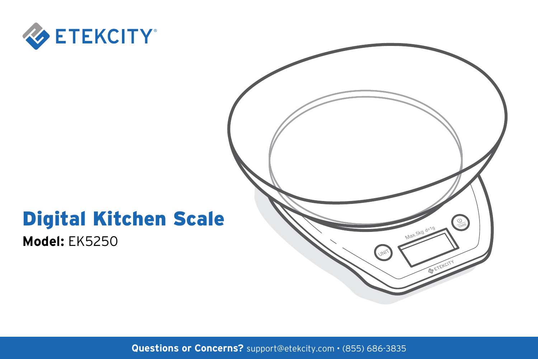

## Digital Kitchen Scale

**Model:** EK5250



**Questions or Concerns?** support@etekcity.com • (855) 686-3835 1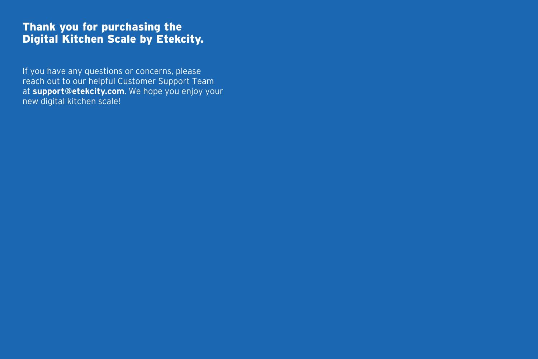#### Thank you for purchasing the Digital Kitchen Scale by Etekcity.

If you have any questions or concerns, please reach out to our helpful Customer Support Team at **support@etekcity.com**. We hope you enjoy your new digital kitchen scale!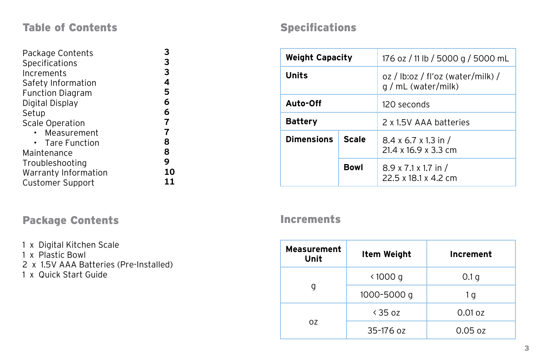#### Table of Contents

| Package Contents        | з              |
|-------------------------|----------------|
| Specifications          | 3              |
| Increments              | 3              |
| Safety Information      | 4              |
| <b>Function Diagram</b> | 5              |
| Digital Display         | 6              |
| Setup                   | 6              |
| <b>Scale Operation</b>  | $\overline{7}$ |
| Measurement             | 7              |
| <b>Tare Function</b>    | 8              |
| Maintenance             | 8              |
| Troubleshooting         | 9              |
| Warranty Information    | 10             |
| <b>Customer Support</b> | 11             |

### Package Contents **Increments**

1 x Digital Kitchen Scale 1 x Plastic Bowl 2 x 1.5V AAA Batteries (Pre-Installed) 1 x Quick Start Guide

#### Specifications

| <b>Weight Capacity</b>     |      | 176 oz / 11 lb / 5000 g / 5000 mL                        |
|----------------------------|------|----------------------------------------------------------|
| Units                      |      | oz / lb:oz / fl'oz (water/milk) /<br>q / mL (water/milk) |
| Auto-Off                   |      | 120 seconds                                              |
| <b>Battery</b>             |      | 2 x 1.5V AAA batteries                                   |
| <b>Dimensions</b><br>Scale |      | $8.4 \times 6.7 \times 1.3$ in /<br>21.4 x 16.9 x 3.3 cm |
|                            | Bowl | $8.9 \times 7.1 \times 1.7$ in /<br>22.5 x 18.1 x 4.2 cm |

| <b>Measurement</b><br>Unit | <b>Item Weight</b>       | Increment         |
|----------------------------|--------------------------|-------------------|
|                            | $\langle 1000 \text{ g}$ | 0.1 <sub>q</sub>  |
| g                          | 1000-5000 g              | 1g                |
| 0Z                         | & 3507                   | $0.01$ oz         |
|                            | $35 - 1760$              | $0.05 \text{ oz}$ |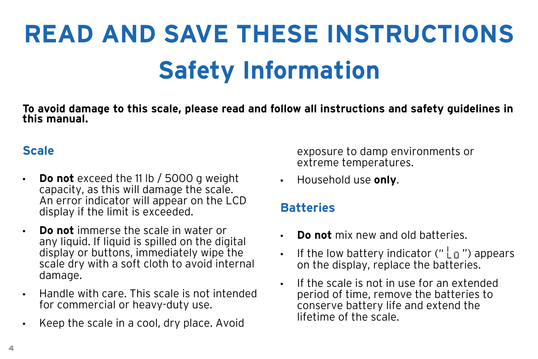# **Safety Information READ AND SAVE THESE INSTRUCTIONS**

**To avoid damage to this scale, please read and follow all instructions and safety guidelines in this manual.**

### **Scale**

- **Do not** exceed the 11 lb / 5000 g weight capacity, as this will damage the scale. An error indicator will appear on the LCD display if the limit is exceeded.
- **Do not** immerse the scale in water or any liquid. If liquid is spilled on the digital display or buttons, immediately wipe the scale dry with a soft cloth to avoid internal damage.
- Handle with care. This scale is not intended for commercial or heavy-duty use.
- Keep the scale in a cool, dry place. Avoid

exposure to damp environments or extreme temperatures.

• Household use **only**.

#### **Batteries**

- **Do not** mix new and old batteries.
- If the low battery indicator (" $\lfloor \pi \rfloor$ ") appears on the display, replace the batteries.
- If the scale is not in use for an extended period of time, remove the batteries to conserve battery life and extend the lifetime of the scale.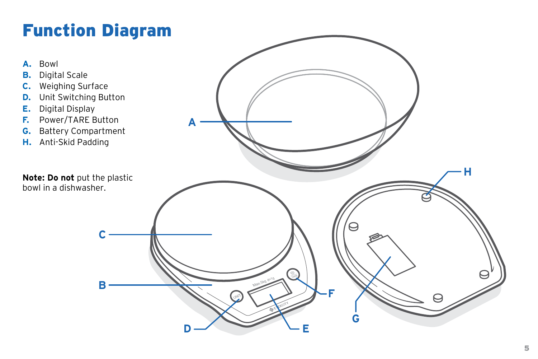## Function Diagram

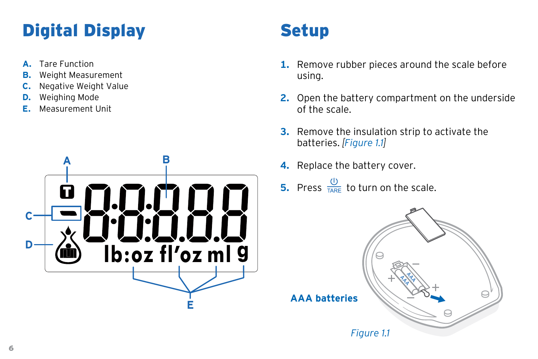## **Digital Display Setup**

- **A.** Tare Function
- **B.** Weight Measurement
- **C.** Negative Weight Value
- **D.** Weighing Mode
- **E.** Measurement Unit



- **1.** Remove rubber pieces around the scale before using.
- **2.** Open the battery compartment on the underside of the scale.
- **3.** Remove the insulation strip to activate the batteries. *[Figure 1.1]*
- **4.** Replace the battery cover.
- **5.** Press  $\frac{\omega}{\tau_{\text{NE}}}$  to turn on the scale.

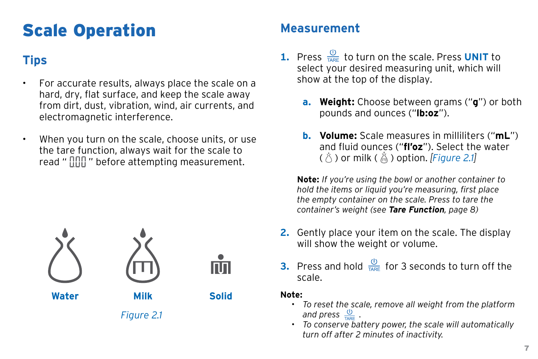## Scale Operation

- For accurate results, always place the scale on a hard, dry, flat surface, and keep the scale away from dirt, dust, vibration, wind, air currents, and electromagnetic interference.
- When you turn on the scale, choose units, or use the tare function, always wait for the scale to read "  $\prod_{i=1}^{n}$  " before attempting measurement.





m

*Figure 2.1*

### **Measurement**

- **Tips 1.** Press  $\frac{0}{1}$  to turn on the scale. Press UNIT to select your desired measuring unit, which will show at the top of the display.
	- **a. Weight:** Choose between grams ("**g**") or both pounds and ounces ("**lb:oz**").
	- **b. Volume:** Scale measures in milliliters ("**mL**") and fluid ounces ("**fl'oz**"). Select the water ( $\bullet$ ) or milk ( $\bullet$ ) option. *[Figure 2.1]*

**Note:** *If you're using the bowl or another container to hold the items or liquid you're measuring, first place the empty container on the scale. Press to tare the container's weight (see Tare Function, [page 8\)](#page-7-0)*

- **2.** Gently place your item on the scale. The display will show the weight or volume.
- **3.** Press and hold  $\frac{0}{T_{ABE}}$  for 3 seconds to turn off the scale.

#### **Note:**

- *• To reset the scale, remove all weight from the platform and press*  $\frac{0}{\sqrt{2}}$ .
- *• To conserve battery power, the scale will automatically turn off after 2 minutes of inactivity.*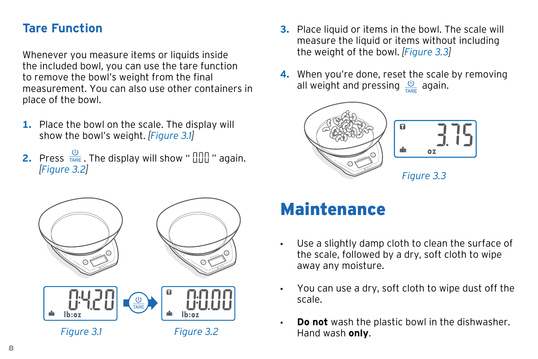#### <span id="page-7-0"></span>**Tare Function**

Whenever you measure items or liquids inside the included bowl, you can use the tare function to remove the bowl's weight from the final measurement. You can also use other containers in place of the bowl.

- **1.** Place the bowl on the scale. The display will show the bowl's weight. *[Figure 3.1]*
- **2.** Press  $\frac{0}{\text{TRE}}$ . The display will show "  $\frac{0}{100}$ " again. *[Figure 3.2]*



- **3.** Place liquid or items in the bowl. The scale will measure the liquid or items without including the weight of the bowl. *[Figure 3.3]*
- **4.** When you're done, reset the scale by removing all weight and pressing  $\frac{0}{\pi}$  again.



## Maintenance

- Use a slightly damp cloth to clean the surface of the scale, followed by a dry, soft cloth to wipe away any moisture.
- You can use a dry, soft cloth to wipe dust off the scale.
- **Do not** wash the plastic bowl in the dishwasher. Hand wash **only**.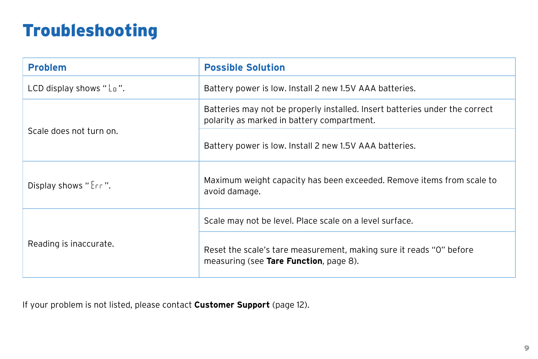## Troubleshooting

| <b>Problem</b>          | <b>Possible Solution</b>                                                                                                  |
|-------------------------|---------------------------------------------------------------------------------------------------------------------------|
| LCD display shows "Lo". | Battery power is low. Install 2 new 1.5V AAA batteries.                                                                   |
| Scale does not turn on. | Batteries may not be properly installed. Insert batteries under the correct<br>polarity as marked in battery compartment. |
|                         | Battery power is low. Install 2 new 1.5V AAA batteries.                                                                   |
| Display shows "Err".    | Maximum weight capacity has been exceeded. Remove items from scale to<br>avoid damage.                                    |
| Reading is inaccurate.  | Scale may not be level. Place scale on a level surface.                                                                   |
|                         | Reset the scale's tare measurement, making sure it reads "O" before<br>measuring (see Tare Function, page 8).             |

If your problem is not listed, please contact **Customer Support** [\(page 12](#page-11-0)).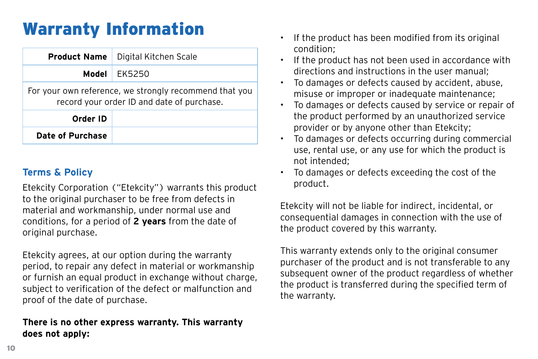## Warranty Information

| <b>Product Name</b>                                                                                  | Digital Kitchen Scale |  |
|------------------------------------------------------------------------------------------------------|-----------------------|--|
|                                                                                                      | Model EK5250          |  |
| For your own reference, we strongly recommend that you<br>record your order ID and date of purchase. |                       |  |
| Order ID                                                                                             |                       |  |
| Date of Purchase                                                                                     |                       |  |

#### **Terms & Policy**

Etekcity Corporation ("Etekcity") warrants this product to the original purchaser to be free from defects in material and workmanship, under normal use and conditions, for a period of **2 years** from the date of original purchase.

Etekcity agrees, at our option during the warranty period, to repair any defect in material or workmanship or furnish an equal product in exchange without charge, subject to verification of the defect or malfunction and proof of the date of purchase.

#### **There is no other express warranty. This warranty does not apply:**

- If the product has been modified from its original condition;
- If the product has not been used in accordance with directions and instructions in the user manual;
- To damages or defects caused by accident, abuse, misuse or improper or inadequate maintenance;
- To damages or defects caused by service or repair of the product performed by an unauthorized service provider or by anyone other than Etekcity;
- To damages or defects occurring during commercial use, rental use, or any use for which the product is not intended;
- To damages or defects exceeding the cost of the product.

Etekcity will not be liable for indirect, incidental, or consequential damages in connection with the use of the product covered by this warranty.

This warranty extends only to the original consumer purchaser of the product and is not transferable to any subsequent owner of the product regardless of whether the product is transferred during the specified term of the warranty.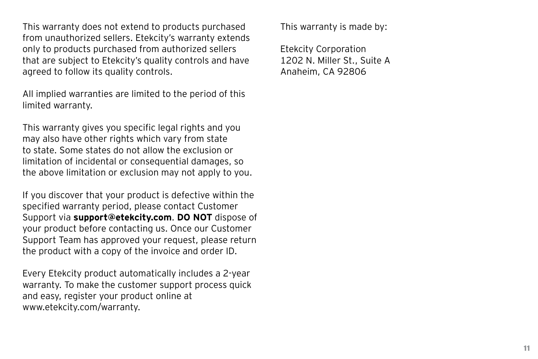This warranty does not extend to products purchased from unauthorized sellers. Etekcity's warranty extends only to products purchased from authorized sellers that are subject to Etekcity's quality controls and have agreed to follow its quality controls.

All implied warranties are limited to the period of this limited warranty.

This warranty gives you specific legal rights and you may also have other rights which vary from state to state. Some states do not allow the exclusion or limitation of incidental or consequential damages, so the above limitation or exclusion may not apply to you.

If you discover that your product is defective within the specified warranty period, please contact Customer Support via **support@etekcity.com**. **DO NOT** dispose of your product before contacting us. Once our Customer Support Team has approved your request, please return the product with a copy of the invoice and order ID.

Every Etekcity product automatically includes a 2-year warranty. To make the customer support process quick and easy, register your product online at www.etekcity.com/warranty.

This warranty is made by:

Etekcity Corporation 1202 N. Miller St., Suite A Anaheim, CA 92806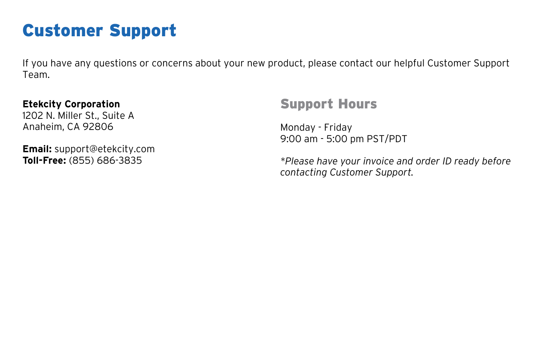## <span id="page-11-0"></span>Customer Support

If you have any questions or concerns about your new product, please contact our helpful Customer Support Team.

#### **Etekcity Corporation**

1202 N. Miller St., Suite A Anaheim, CA 92806

**Email:** support@etekcity.com **Toll-Free:** (855) 686-3835

### Support Hours

Monday - Friday 9:00 am - 5:00 pm PST/PDT

*\*Please have your invoice and order ID ready before contacting Customer Support.*